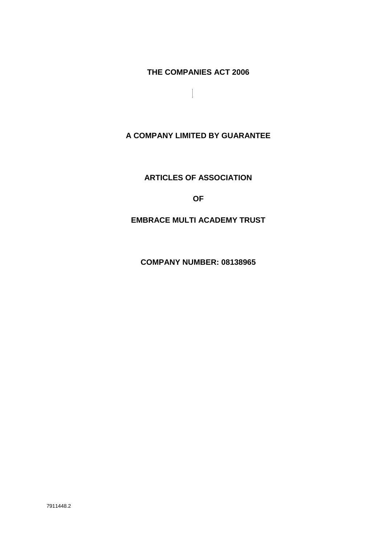**THE COMPANIES ACT 2006**

**A COMPANY LIMITED BY GUARANTEE**

**ARTICLES OF ASSOCIATION**

**OF**

**EMBRACE MULTI ACADEMY TRUST**

**COMPANY NUMBER: 08138965**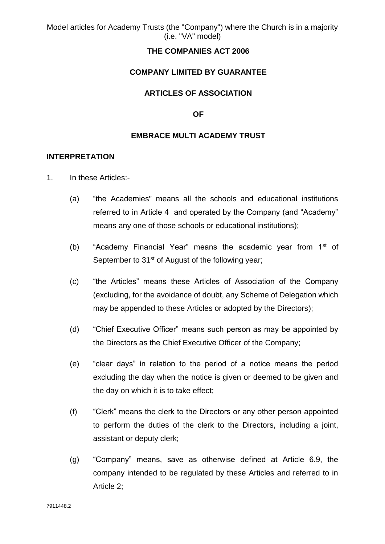#### **THE COMPANIES ACT 2006**

#### **COMPANY LIMITED BY GUARANTEE**

#### **ARTICLES OF ASSOCIATION**

#### **OF**

#### **EMBRACE MULTI ACADEMY TRUST**

#### **INTERPRETATION**

- 1. In these Articles:-
	- (a) "the Academies" means all the schools and educational institutions referred to in Article 4 and operated by the Company (and "Academy" means any one of those schools or educational institutions);
	- (b) "Academy Financial Year" means the academic year from 1<sup>st</sup> of September to 31<sup>st</sup> of August of the following year;
	- (c) "the Articles" means these Articles of Association of the Company (excluding, for the avoidance of doubt, any Scheme of Delegation which may be appended to these Articles or adopted by the Directors);
	- (d) "Chief Executive Officer" means such person as may be appointed by the Directors as the Chief Executive Officer of the Company;
	- (e) "clear days" in relation to the period of a notice means the period excluding the day when the notice is given or deemed to be given and the day on which it is to take effect;
	- (f) "Clerk" means the clerk to the Directors or any other person appointed to perform the duties of the clerk to the Directors, including a joint, assistant or deputy clerk;
	- (g) "Company" means, save as otherwise defined at Article 6.9, the company intended to be regulated by these Articles and referred to in Article 2;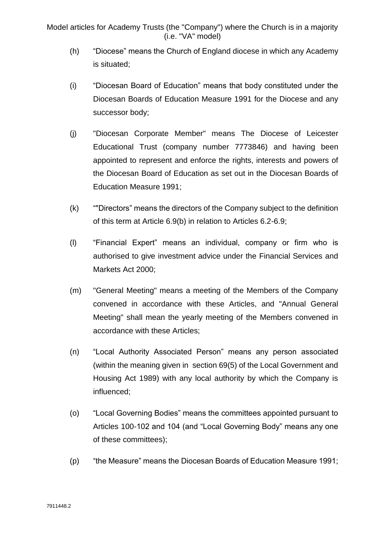- (h) "Diocese" means the Church of England diocese in which any Academy is situated;
- (i) "Diocesan Board of Education" means that body constituted under the Diocesan Boards of Education Measure 1991 for the Diocese and any successor body;
- (j) "Diocesan Corporate Member" means The Diocese of Leicester Educational Trust (company number 7773846) and having been appointed to represent and enforce the rights, interests and powers of the Diocesan Board of Education as set out in the Diocesan Boards of Education Measure 1991;
- (k) ""Directors" means the directors of the Company subject to the definition of this term at Article 6.9(b) in relation to Articles 6.2-6.9;
- (l) "Financial Expert" means an individual, company or firm who is authorised to give investment advice under the Financial Services and Markets Act 2000;
- (m) "General Meeting" means a meeting of the Members of the Company convened in accordance with these Articles, and "Annual General Meeting" shall mean the yearly meeting of the Members convened in accordance with these Articles;
- (n) "Local Authority Associated Person" means any person associated (within the meaning given in section 69(5) of the Local Government and Housing Act 1989) with any local authority by which the Company is influenced;
- (o) "Local Governing Bodies" means the committees appointed pursuant to Articles 100-102 and 104 (and "Local Governing Body" means any one of these committees);
- (p) "the Measure" means the Diocesan Boards of Education Measure 1991;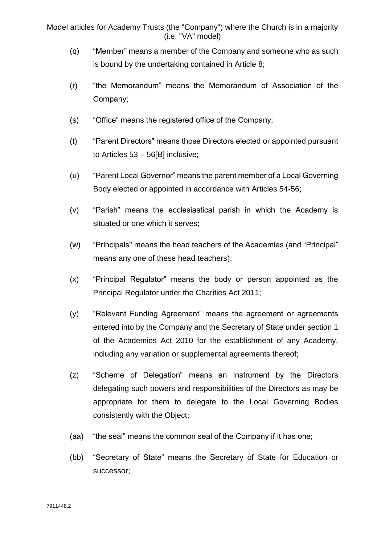- (q) "Member" means a member of the Company and someone who as such is bound by the undertaking contained in Article 8;
- (r) "the Memorandum" means the Memorandum of Association of the Company;
- (s) "Office" means the registered office of the Company;
- (t) "Parent Directors" means those Directors elected or appointed pursuant to Articles 53 – 56[B] inclusive;
- (u) "Parent Local Governor" means the parent member of a Local Governing Body elected or appointed in accordance with Articles 54-56;
- (v) "Parish" means the ecclesiastical parish in which the Academy is situated or one which it serves;
- (w) "Principals" means the head teachers of the Academies (and "Principal" means any one of these head teachers);
- (x) "Principal Regulator" means the body or person appointed as the Principal Regulator under the Charities Act 2011;
- (y) "Relevant Funding Agreement" means the agreement or agreements entered into by the Company and the Secretary of State under section 1 of the Academies Act 2010 for the establishment of any Academy, including any variation or supplemental agreements thereof;
- (z) "Scheme of Delegation" means an instrument by the Directors delegating such powers and responsibilities of the Directors as may be appropriate for them to delegate to the Local Governing Bodies consistently with the Object;
- (aa) "the seal" means the common seal of the Company if it has one;
- (bb) "Secretary of State" means the Secretary of State for Education or successor;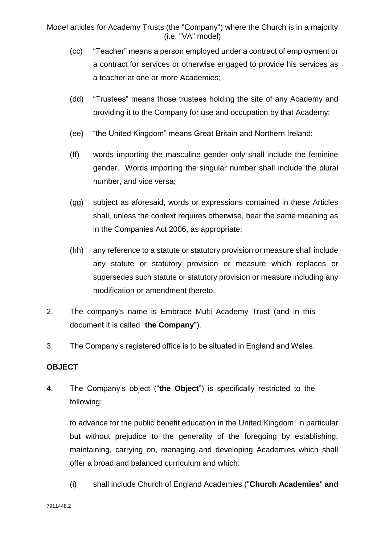- (cc) "Teacher" means a person employed under a contract of employment or a contract for services or otherwise engaged to provide his services as a teacher at one or more Academies;
- (dd) "Trustees" means those trustees holding the site of any Academy and providing it to the Company for use and occupation by that Academy;
- (ee) "the United Kingdom" means Great Britain and Northern Ireland;
- (ff) words importing the masculine gender only shall include the feminine gender. Words importing the singular number shall include the plural number, and vice versa;
- (gg) subject as aforesaid, words or expressions contained in these Articles shall, unless the context requires otherwise, bear the same meaning as in the Companies Act 2006, as appropriate;
- (hh) any reference to a statute or statutory provision or measure shall include any statute or statutory provision or measure which replaces or supersedes such statute or statutory provision or measure including any modification or amendment thereto.
- 2. The company's name is Embrace Multi Academy Trust (and in this document it is called "**the Company**").
- 3. The Company's registered office is to be situated in England and Wales.

### **OBJECT**

4. The Company's object ("**the Object**") is specifically restricted to the following:

to advance for the public benefit education in the United Kingdom, in particular but without prejudice to the generality of the foregoing by establishing, maintaining, carrying on, managing and developing Academies which shall offer a broad and balanced curriculum and which:

(i) shall include Church of England Academies ("**Church Academies**" **and**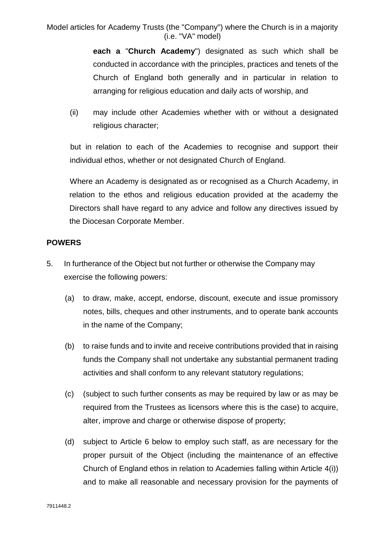> **each a** "**Church Academy**") designated as such which shall be conducted in accordance with the principles, practices and tenets of the Church of England both generally and in particular in relation to arranging for religious education and daily acts of worship, and

(ii) may include other Academies whether with or without a designated religious character;

but in relation to each of the Academies to recognise and support their individual ethos, whether or not designated Church of England.

Where an Academy is designated as or recognised as a Church Academy, in relation to the ethos and religious education provided at the academy the Directors shall have regard to any advice and follow any directives issued by the Diocesan Corporate Member.

#### **POWERS**

- 5. In furtherance of the Object but not further or otherwise the Company may exercise the following powers:
	- (a) to draw, make, accept, endorse, discount, execute and issue promissory notes, bills, cheques and other instruments, and to operate bank accounts in the name of the Company;
	- (b) to raise funds and to invite and receive contributions provided that in raising funds the Company shall not undertake any substantial permanent trading activities and shall conform to any relevant statutory regulations;
	- (c) (subject to such further consents as may be required by law or as may be required from the Trustees as licensors where this is the case) to acquire, alter, improve and charge or otherwise dispose of property;
	- (d) subject to Article 6 below to employ such staff, as are necessary for the proper pursuit of the Object (including the maintenance of an effective Church of England ethos in relation to Academies falling within Article 4(i)) and to make all reasonable and necessary provision for the payments of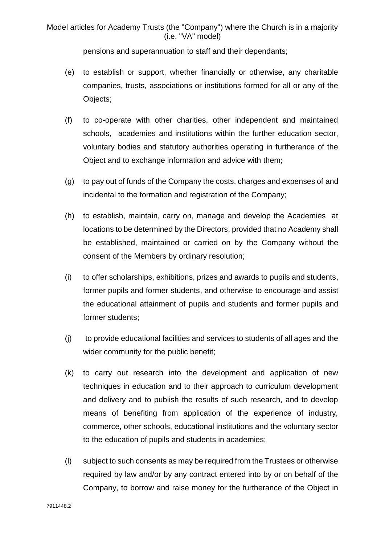pensions and superannuation to staff and their dependants;

- (e) to establish or support, whether financially or otherwise, any charitable companies, trusts, associations or institutions formed for all or any of the Objects;
- (f) to co-operate with other charities, other independent and maintained schools, academies and institutions within the further education sector, voluntary bodies and statutory authorities operating in furtherance of the Object and to exchange information and advice with them;
- (g) to pay out of funds of the Company the costs, charges and expenses of and incidental to the formation and registration of the Company:
- (h) to establish, maintain, carry on, manage and develop the Academies at locations to be determined by the Directors, provided that no Academy shall be established, maintained or carried on by the Company without the consent of the Members by ordinary resolution;
- (i) to offer scholarships, exhibitions, prizes and awards to pupils and students, former pupils and former students, and otherwise to encourage and assist the educational attainment of pupils and students and former pupils and former students;
- (j) to provide educational facilities and services to students of all ages and the wider community for the public benefit;
- (k) to carry out research into the development and application of new techniques in education and to their approach to curriculum development and delivery and to publish the results of such research, and to develop means of benefiting from application of the experience of industry, commerce, other schools, educational institutions and the voluntary sector to the education of pupils and students in academies;
- (l) subject to such consents as may be required from the Trustees or otherwise required by law and/or by any contract entered into by or on behalf of the Company, to borrow and raise money for the furtherance of the Object in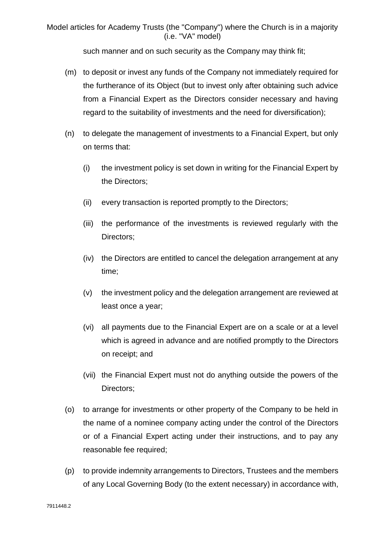such manner and on such security as the Company may think fit;

- (m) to deposit or invest any funds of the Company not immediately required for the furtherance of its Object (but to invest only after obtaining such advice from a Financial Expert as the Directors consider necessary and having regard to the suitability of investments and the need for diversification);
- (n) to delegate the management of investments to a Financial Expert, but only on terms that:
	- (i) the investment policy is set down in writing for the Financial Expert by the Directors;
	- (ii) every transaction is reported promptly to the Directors;
	- (iii) the performance of the investments is reviewed regularly with the Directors;
	- (iv) the Directors are entitled to cancel the delegation arrangement at any time;
	- (v) the investment policy and the delegation arrangement are reviewed at least once a year;
	- (vi) all payments due to the Financial Expert are on a scale or at a level which is agreed in advance and are notified promptly to the Directors on receipt; and
	- (vii) the Financial Expert must not do anything outside the powers of the Directors;
- (o) to arrange for investments or other property of the Company to be held in the name of a nominee company acting under the control of the Directors or of a Financial Expert acting under their instructions, and to pay any reasonable fee required;
- (p) to provide indemnity arrangements to Directors, Trustees and the members of any Local Governing Body (to the extent necessary) in accordance with,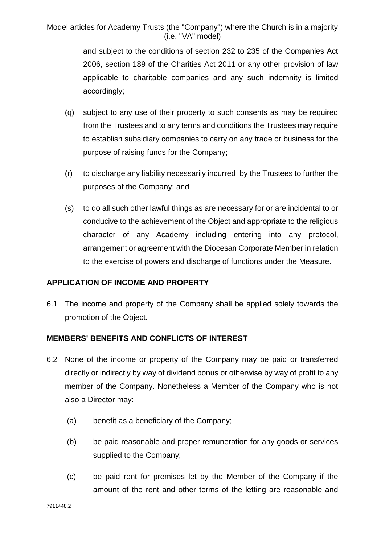> and subject to the conditions of section 232 to 235 of the Companies Act 2006, section 189 of the Charities Act 2011 or any other provision of law applicable to charitable companies and any such indemnity is limited accordingly;

- (q) subject to any use of their property to such consents as may be required from the Trustees and to any terms and conditions the Trustees may require to establish subsidiary companies to carry on any trade or business for the purpose of raising funds for the Company;
- (r) to discharge any liability necessarily incurred by the Trustees to further the purposes of the Company; and
- (s) to do all such other lawful things as are necessary for or are incidental to or conducive to the achievement of the Object and appropriate to the religious character of any Academy including entering into any protocol, arrangement or agreement with the Diocesan Corporate Member in relation to the exercise of powers and discharge of functions under the Measure.

### **APPLICATION OF INCOME AND PROPERTY**

6.1 The income and property of the Company shall be applied solely towards the promotion of the Object.

# **MEMBERS' BENEFITS AND CONFLICTS OF INTEREST**

- 6.2 None of the income or property of the Company may be paid or transferred directly or indirectly by way of dividend bonus or otherwise by way of profit to any member of the Company. Nonetheless a Member of the Company who is not also a Director may:
	- (a) benefit as a beneficiary of the Company;
	- (b) be paid reasonable and proper remuneration for any goods or services supplied to the Company;
	- (c) be paid rent for premises let by the Member of the Company if the amount of the rent and other terms of the letting are reasonable and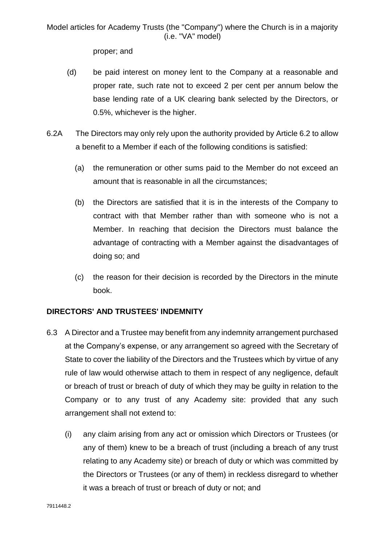proper; and

- (d) be paid interest on money lent to the Company at a reasonable and proper rate, such rate not to exceed 2 per cent per annum below the base lending rate of a UK clearing bank selected by the Directors, or 0.5%, whichever is the higher.
- 6.2A The Directors may only rely upon the authority provided by Article 6.2 to allow a benefit to a Member if each of the following conditions is satisfied:
	- (a) the remuneration or other sums paid to the Member do not exceed an amount that is reasonable in all the circumstances;
	- (b) the Directors are satisfied that it is in the interests of the Company to contract with that Member rather than with someone who is not a Member. In reaching that decision the Directors must balance the advantage of contracting with a Member against the disadvantages of doing so; and
	- (c) the reason for their decision is recorded by the Directors in the minute book.

# **DIRECTORS' AND TRUSTEES' INDEMNITY**

- 6.3 A Director and a Trustee may benefit from any indemnity arrangement purchased at the Company's expense, or any arrangement so agreed with the Secretary of State to cover the liability of the Directors and the Trustees which by virtue of any rule of law would otherwise attach to them in respect of any negligence, default or breach of trust or breach of duty of which they may be guilty in relation to the Company or to any trust of any Academy site: provided that any such arrangement shall not extend to:
	- (i) any claim arising from any act or omission which Directors or Trustees (or any of them) knew to be a breach of trust (including a breach of any trust relating to any Academy site) or breach of duty or which was committed by the Directors or Trustees (or any of them) in reckless disregard to whether it was a breach of trust or breach of duty or not; and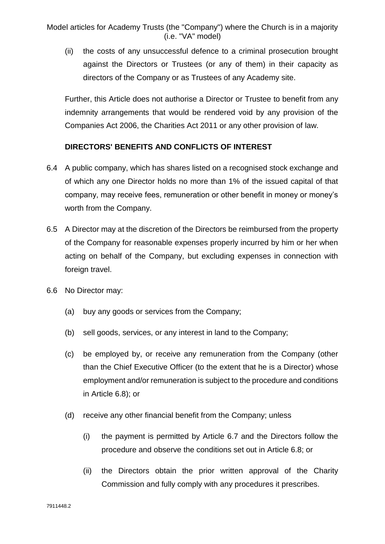(ii) the costs of any unsuccessful defence to a criminal prosecution brought against the Directors or Trustees (or any of them) in their capacity as directors of the Company or as Trustees of any Academy site.

Further, this Article does not authorise a Director or Trustee to benefit from any indemnity arrangements that would be rendered void by any provision of the Companies Act 2006, the Charities Act 2011 or any other provision of law.

### **DIRECTORS' BENEFITS AND CONFLICTS OF INTEREST**

- 6.4 A public company, which has shares listed on a recognised stock exchange and of which any one Director holds no more than 1% of the issued capital of that company, may receive fees, remuneration or other benefit in money or money's worth from the Company.
- 6.5 A Director may at the discretion of the Directors be reimbursed from the property of the Company for reasonable expenses properly incurred by him or her when acting on behalf of the Company, but excluding expenses in connection with foreign travel.
- 6.6 No Director may:
	- (a) buy any goods or services from the Company;
	- (b) sell goods, services, or any interest in land to the Company;
	- (c) be employed by, or receive any remuneration from the Company (other than the Chief Executive Officer (to the extent that he is a Director) whose employment and/or remuneration is subject to the procedure and conditions in Article 6.8); or
	- (d) receive any other financial benefit from the Company; unless
		- (i) the payment is permitted by Article 6.7 and the Directors follow the procedure and observe the conditions set out in Article 6.8; or
		- (ii) the Directors obtain the prior written approval of the Charity Commission and fully comply with any procedures it prescribes.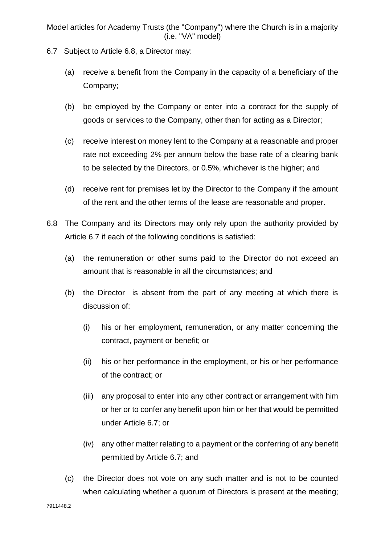- 6.7 Subject to Article 6.8, a Director may:
	- (a) receive a benefit from the Company in the capacity of a beneficiary of the Company;
	- (b) be employed by the Company or enter into a contract for the supply of goods or services to the Company, other than for acting as a Director;
	- (c) receive interest on money lent to the Company at a reasonable and proper rate not exceeding 2% per annum below the base rate of a clearing bank to be selected by the Directors, or 0.5%, whichever is the higher; and
	- (d) receive rent for premises let by the Director to the Company if the amount of the rent and the other terms of the lease are reasonable and proper.
- 6.8 The Company and its Directors may only rely upon the authority provided by Article 6.7 if each of the following conditions is satisfied:
	- (a) the remuneration or other sums paid to the Director do not exceed an amount that is reasonable in all the circumstances; and
	- (b) the Director is absent from the part of any meeting at which there is discussion of:
		- (i) his or her employment, remuneration, or any matter concerning the contract, payment or benefit; or
		- (ii) his or her performance in the employment, or his or her performance of the contract; or
		- (iii) any proposal to enter into any other contract or arrangement with him or her or to confer any benefit upon him or her that would be permitted under Article 6.7; or
		- (iv) any other matter relating to a payment or the conferring of any benefit permitted by Article 6.7; and
	- (c) the Director does not vote on any such matter and is not to be counted when calculating whether a quorum of Directors is present at the meeting;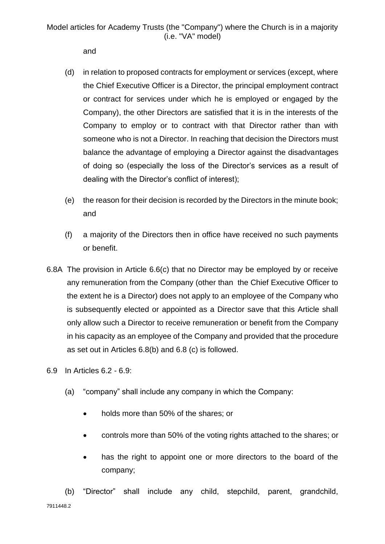and

- (d) in relation to proposed contracts for employment or services (except, where the Chief Executive Officer is a Director, the principal employment contract or contract for services under which he is employed or engaged by the Company), the other Directors are satisfied that it is in the interests of the Company to employ or to contract with that Director rather than with someone who is not a Director. In reaching that decision the Directors must balance the advantage of employing a Director against the disadvantages of doing so (especially the loss of the Director's services as a result of dealing with the Director's conflict of interest);
- (e) the reason for their decision is recorded by the Directors in the minute book; and
- (f) a majority of the Directors then in office have received no such payments or benefit.
- 6.8A The provision in Article 6.6(c) that no Director may be employed by or receive any remuneration from the Company (other than the Chief Executive Officer to the extent he is a Director) does not apply to an employee of the Company who is subsequently elected or appointed as a Director save that this Article shall only allow such a Director to receive remuneration or benefit from the Company in his capacity as an employee of the Company and provided that the procedure as set out in Articles 6.8(b) and 6.8 (c) is followed.
- 6.9 In Articles 6.2 6.9:
	- (a) "company" shall include any company in which the Company:
		- holds more than 50% of the shares; or
		- controls more than 50% of the voting rights attached to the shares; or
		- has the right to appoint one or more directors to the board of the company;

7911448.2 (b) "Director" shall include any child, stepchild, parent, grandchild,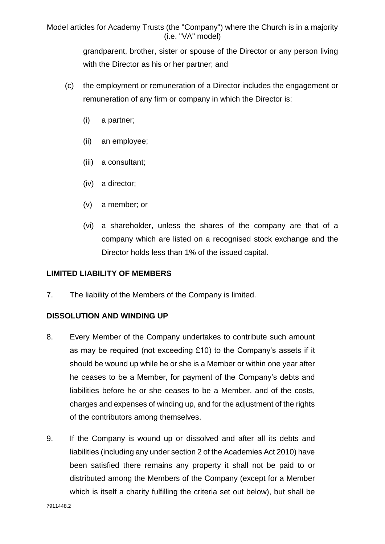grandparent, brother, sister or spouse of the Director or any person living with the Director as his or her partner; and

- (c) the employment or remuneration of a Director includes the engagement or remuneration of any firm or company in which the Director is:
	- (i) a partner;
	- (ii) an employee;
	- (iii) a consultant;
	- (iv) a director;
	- (v) a member; or
	- (vi) a shareholder, unless the shares of the company are that of a company which are listed on a recognised stock exchange and the Director holds less than 1% of the issued capital.

# **LIMITED LIABILITY OF MEMBERS**

7. The liability of the Members of the Company is limited.

# **DISSOLUTION AND WINDING UP**

- 8. Every Member of the Company undertakes to contribute such amount as may be required (not exceeding £10) to the Company's assets if it should be wound up while he or she is a Member or within one year after he ceases to be a Member, for payment of the Company's debts and liabilities before he or she ceases to be a Member, and of the costs, charges and expenses of winding up, and for the adjustment of the rights of the contributors among themselves.
- 9. If the Company is wound up or dissolved and after all its debts and liabilities (including any under section 2 of the Academies Act 2010) have been satisfied there remains any property it shall not be paid to or distributed among the Members of the Company (except for a Member which is itself a charity fulfilling the criteria set out below), but shall be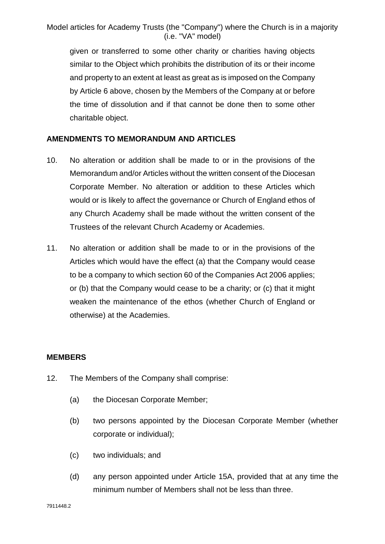given or transferred to some other charity or charities having objects similar to the Object which prohibits the distribution of its or their income and property to an extent at least as great as is imposed on the Company by Article 6 above, chosen by the Members of the Company at or before the time of dissolution and if that cannot be done then to some other charitable object.

# **AMENDMENTS TO MEMORANDUM AND ARTICLES**

- 10. No alteration or addition shall be made to or in the provisions of the Memorandum and/or Articles without the written consent of the Diocesan Corporate Member. No alteration or addition to these Articles which would or is likely to affect the governance or Church of England ethos of any Church Academy shall be made without the written consent of the Trustees of the relevant Church Academy or Academies.
- 11. No alteration or addition shall be made to or in the provisions of the Articles which would have the effect (a) that the Company would cease to be a company to which section 60 of the Companies Act 2006 applies; or (b) that the Company would cease to be a charity; or (c) that it might weaken the maintenance of the ethos (whether Church of England or otherwise) at the Academies.

### **MEMBERS**

- 12. The Members of the Company shall comprise:
	- (a) the Diocesan Corporate Member;
	- (b) two persons appointed by the Diocesan Corporate Member (whether corporate or individual);
	- (c) two individuals; and
	- (d) any person appointed under Article 15A, provided that at any time the minimum number of Members shall not be less than three.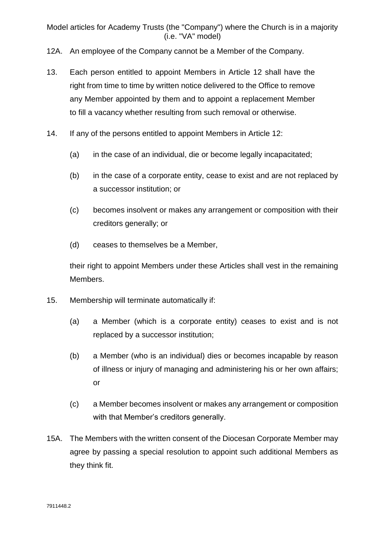- 12A. An employee of the Company cannot be a Member of the Company.
- 13. Each person entitled to appoint Members in Article 12 shall have the right from time to time by written notice delivered to the Office to remove any Member appointed by them and to appoint a replacement Member to fill a vacancy whether resulting from such removal or otherwise.
- 14. If any of the persons entitled to appoint Members in Article 12:
	- (a) in the case of an individual, die or become legally incapacitated;
	- (b) in the case of a corporate entity, cease to exist and are not replaced by a successor institution; or
	- (c) becomes insolvent or makes any arrangement or composition with their creditors generally; or
	- (d) ceases to themselves be a Member,

their right to appoint Members under these Articles shall vest in the remaining Members.

- 15. Membership will terminate automatically if:
	- (a) a Member (which is a corporate entity) ceases to exist and is not replaced by a successor institution;
	- (b) a Member (who is an individual) dies or becomes incapable by reason of illness or injury of managing and administering his or her own affairs; or
	- (c) a Member becomes insolvent or makes any arrangement or composition with that Member's creditors generally.
- 15A. The Members with the written consent of the Diocesan Corporate Member may agree by passing a special resolution to appoint such additional Members as they think fit.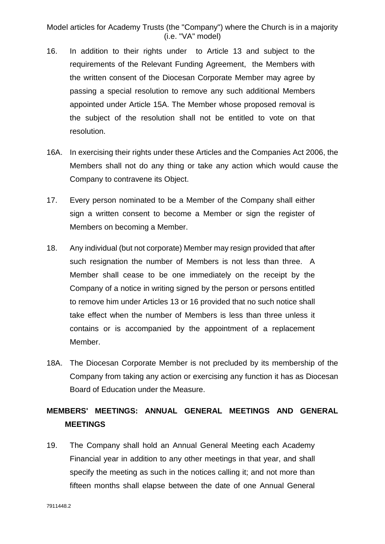- 16. In addition to their rights under to Article 13 and subject to the requirements of the Relevant Funding Agreement, the Members with the written consent of the Diocesan Corporate Member may agree by passing a special resolution to remove any such additional Members appointed under Article 15A. The Member whose proposed removal is the subject of the resolution shall not be entitled to vote on that resolution.
- 16A. In exercising their rights under these Articles and the Companies Act 2006, the Members shall not do any thing or take any action which would cause the Company to contravene its Object.
- 17. Every person nominated to be a Member of the Company shall either sign a written consent to become a Member or sign the register of Members on becoming a Member.
- 18. Any individual (but not corporate) Member may resign provided that after such resignation the number of Members is not less than three. A Member shall cease to be one immediately on the receipt by the Company of a notice in writing signed by the person or persons entitled to remove him under Articles 13 or 16 provided that no such notice shall take effect when the number of Members is less than three unless it contains or is accompanied by the appointment of a replacement Member.
- 18A. The Diocesan Corporate Member is not precluded by its membership of the Company from taking any action or exercising any function it has as Diocesan Board of Education under the Measure.

# **MEMBERS' MEETINGS: ANNUAL GENERAL MEETINGS AND GENERAL MEETINGS**

19. The Company shall hold an Annual General Meeting each Academy Financial year in addition to any other meetings in that year, and shall specify the meeting as such in the notices calling it; and not more than fifteen months shall elapse between the date of one Annual General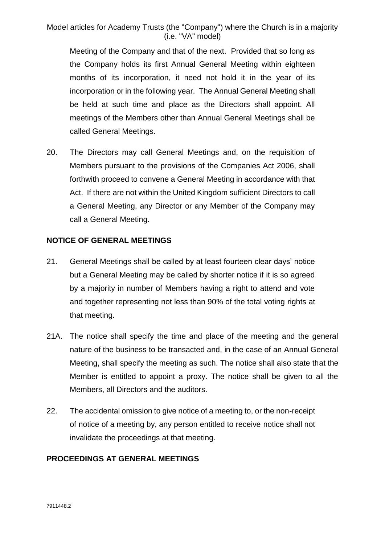Meeting of the Company and that of the next. Provided that so long as the Company holds its first Annual General Meeting within eighteen months of its incorporation, it need not hold it in the year of its incorporation or in the following year. The Annual General Meeting shall be held at such time and place as the Directors shall appoint. All meetings of the Members other than Annual General Meetings shall be called General Meetings.

20. The Directors may call General Meetings and, on the requisition of Members pursuant to the provisions of the Companies Act 2006, shall forthwith proceed to convene a General Meeting in accordance with that Act. If there are not within the United Kingdom sufficient Directors to call a General Meeting, any Director or any Member of the Company may call a General Meeting.

#### **NOTICE OF GENERAL MEETINGS**

- 21. General Meetings shall be called by at least fourteen clear days' notice but a General Meeting may be called by shorter notice if it is so agreed by a majority in number of Members having a right to attend and vote and together representing not less than 90% of the total voting rights at that meeting.
- 21A. The notice shall specify the time and place of the meeting and the general nature of the business to be transacted and, in the case of an Annual General Meeting, shall specify the meeting as such. The notice shall also state that the Member is entitled to appoint a proxy. The notice shall be given to all the Members, all Directors and the auditors.
- 22. The accidental omission to give notice of a meeting to, or the non-receipt of notice of a meeting by, any person entitled to receive notice shall not invalidate the proceedings at that meeting.

### **PROCEEDINGS AT GENERAL MEETINGS**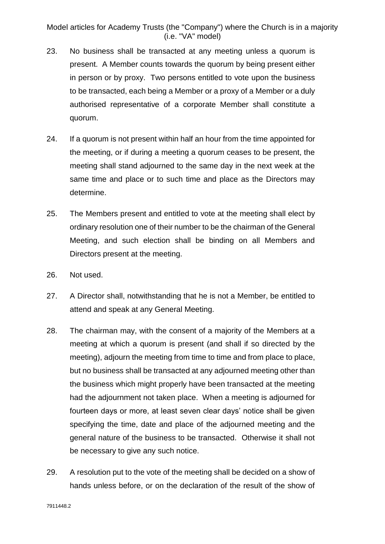- 23. No business shall be transacted at any meeting unless a quorum is present. A Member counts towards the quorum by being present either in person or by proxy. Two persons entitled to vote upon the business to be transacted, each being a Member or a proxy of a Member or a duly authorised representative of a corporate Member shall constitute a quorum.
- 24. If a quorum is not present within half an hour from the time appointed for the meeting, or if during a meeting a quorum ceases to be present, the meeting shall stand adjourned to the same day in the next week at the same time and place or to such time and place as the Directors may determine.
- 25. The Members present and entitled to vote at the meeting shall elect by ordinary resolution one of their number to be the chairman of the General Meeting, and such election shall be binding on all Members and Directors present at the meeting.
- 26. Not used.
- 27. A Director shall, notwithstanding that he is not a Member, be entitled to attend and speak at any General Meeting.
- 28. The chairman may, with the consent of a majority of the Members at a meeting at which a quorum is present (and shall if so directed by the meeting), adjourn the meeting from time to time and from place to place, but no business shall be transacted at any adjourned meeting other than the business which might properly have been transacted at the meeting had the adjournment not taken place. When a meeting is adjourned for fourteen days or more, at least seven clear days' notice shall be given specifying the time, date and place of the adjourned meeting and the general nature of the business to be transacted. Otherwise it shall not be necessary to give any such notice.
- 29. A resolution put to the vote of the meeting shall be decided on a show of hands unless before, or on the declaration of the result of the show of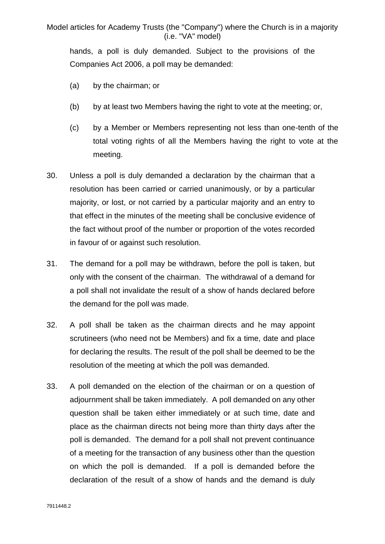hands, a poll is duly demanded. Subject to the provisions of the Companies Act 2006, a poll may be demanded:

- (a) by the chairman; or
- (b) by at least two Members having the right to vote at the meeting; or,
- (c) by a Member or Members representing not less than one-tenth of the total voting rights of all the Members having the right to vote at the meeting.
- 30. Unless a poll is duly demanded a declaration by the chairman that a resolution has been carried or carried unanimously, or by a particular majority, or lost, or not carried by a particular majority and an entry to that effect in the minutes of the meeting shall be conclusive evidence of the fact without proof of the number or proportion of the votes recorded in favour of or against such resolution.
- 31. The demand for a poll may be withdrawn, before the poll is taken, but only with the consent of the chairman. The withdrawal of a demand for a poll shall not invalidate the result of a show of hands declared before the demand for the poll was made.
- 32. A poll shall be taken as the chairman directs and he may appoint scrutineers (who need not be Members) and fix a time, date and place for declaring the results. The result of the poll shall be deemed to be the resolution of the meeting at which the poll was demanded.
- 33. A poll demanded on the election of the chairman or on a question of adjournment shall be taken immediately. A poll demanded on any other question shall be taken either immediately or at such time, date and place as the chairman directs not being more than thirty days after the poll is demanded. The demand for a poll shall not prevent continuance of a meeting for the transaction of any business other than the question on which the poll is demanded. If a poll is demanded before the declaration of the result of a show of hands and the demand is duly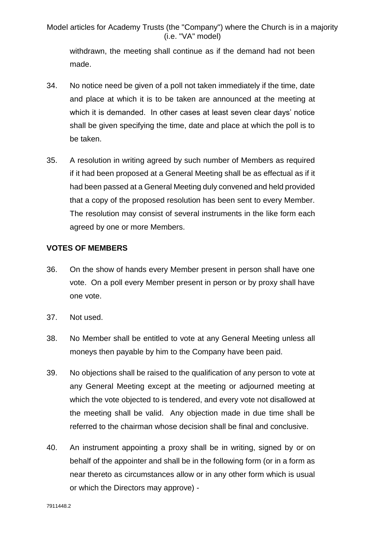withdrawn, the meeting shall continue as if the demand had not been made.

- 34. No notice need be given of a poll not taken immediately if the time, date and place at which it is to be taken are announced at the meeting at which it is demanded. In other cases at least seven clear days' notice shall be given specifying the time, date and place at which the poll is to be taken.
- 35. A resolution in writing agreed by such number of Members as required if it had been proposed at a General Meeting shall be as effectual as if it had been passed at a General Meeting duly convened and held provided that a copy of the proposed resolution has been sent to every Member. The resolution may consist of several instruments in the like form each agreed by one or more Members.

### **VOTES OF MEMBERS**

- 36. On the show of hands every Member present in person shall have one vote. On a poll every Member present in person or by proxy shall have one vote.
- 37. Not used.
- 38. No Member shall be entitled to vote at any General Meeting unless all moneys then payable by him to the Company have been paid.
- 39. No objections shall be raised to the qualification of any person to vote at any General Meeting except at the meeting or adjourned meeting at which the vote objected to is tendered, and every vote not disallowed at the meeting shall be valid. Any objection made in due time shall be referred to the chairman whose decision shall be final and conclusive.
- 40. An instrument appointing a proxy shall be in writing, signed by or on behalf of the appointer and shall be in the following form (or in a form as near thereto as circumstances allow or in any other form which is usual or which the Directors may approve) -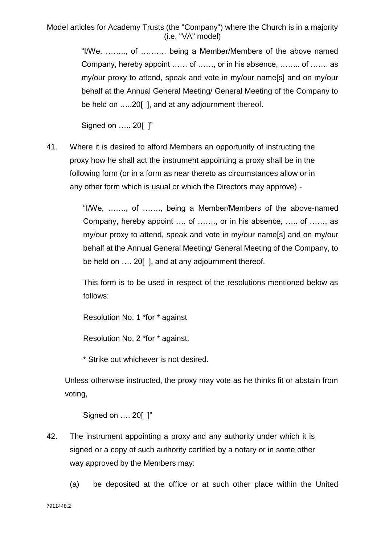> "I/We, …….., of ………, being a Member/Members of the above named Company, hereby appoint …… of ……, or in his absence, …….. of ……. as my/our proxy to attend, speak and vote in my/our name[s] and on my/our behalf at the Annual General Meeting/ General Meeting of the Company to be held on .....20[], and at any adjournment thereof.

Signed on ….. 20[ ]"

41. Where it is desired to afford Members an opportunity of instructing the proxy how he shall act the instrument appointing a proxy shall be in the following form (or in a form as near thereto as circumstances allow or in any other form which is usual or which the Directors may approve) -

> "I/We, ……., of ……., being a Member/Members of the above-named Company, hereby appoint …. of ……., or in his absence, ….. of ……, as my/our proxy to attend, speak and vote in my/our name[s] and on my/our behalf at the Annual General Meeting/ General Meeting of the Company, to be held on .... 20[], and at any adjournment thereof.

> This form is to be used in respect of the resolutions mentioned below as follows:

Resolution No. 1 \*for \* against

Resolution No. 2 \*for \* against.

\* Strike out whichever is not desired.

Unless otherwise instructed, the proxy may vote as he thinks fit or abstain from voting,

Signed on …. 20[ ]"

- 42. The instrument appointing a proxy and any authority under which it is signed or a copy of such authority certified by a notary or in some other way approved by the Members may:
	- (a) be deposited at the office or at such other place within the United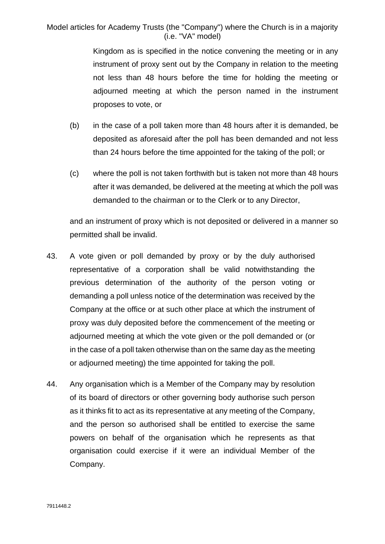> Kingdom as is specified in the notice convening the meeting or in any instrument of proxy sent out by the Company in relation to the meeting not less than 48 hours before the time for holding the meeting or adjourned meeting at which the person named in the instrument proposes to vote, or

- (b) in the case of a poll taken more than 48 hours after it is demanded, be deposited as aforesaid after the poll has been demanded and not less than 24 hours before the time appointed for the taking of the poll; or
- (c) where the poll is not taken forthwith but is taken not more than 48 hours after it was demanded, be delivered at the meeting at which the poll was demanded to the chairman or to the Clerk or to any Director,

and an instrument of proxy which is not deposited or delivered in a manner so permitted shall be invalid.

- 43. A vote given or poll demanded by proxy or by the duly authorised representative of a corporation shall be valid notwithstanding the previous determination of the authority of the person voting or demanding a poll unless notice of the determination was received by the Company at the office or at such other place at which the instrument of proxy was duly deposited before the commencement of the meeting or adjourned meeting at which the vote given or the poll demanded or (or in the case of a poll taken otherwise than on the same day as the meeting or adjourned meeting) the time appointed for taking the poll.
- 44. Any organisation which is a Member of the Company may by resolution of its board of directors or other governing body authorise such person as it thinks fit to act as its representative at any meeting of the Company, and the person so authorised shall be entitled to exercise the same powers on behalf of the organisation which he represents as that organisation could exercise if it were an individual Member of the Company.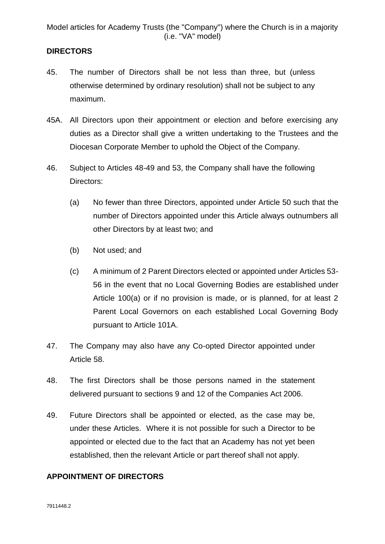# **DIRECTORS**

- 45. The number of Directors shall be not less than three, but (unless otherwise determined by ordinary resolution) shall not be subject to any maximum.
- 45A. All Directors upon their appointment or election and before exercising any duties as a Director shall give a written undertaking to the Trustees and the Diocesan Corporate Member to uphold the Object of the Company.
- 46. Subject to Articles 48-49 and 53, the Company shall have the following Directors:
	- (a) No fewer than three Directors, appointed under Article 50 such that the number of Directors appointed under this Article always outnumbers all other Directors by at least two; and
	- (b) Not used; and
	- (c) A minimum of 2 Parent Directors elected or appointed under Articles 53- 56 in the event that no Local Governing Bodies are established under Article 100(a) or if no provision is made, or is planned, for at least 2 Parent Local Governors on each established Local Governing Body pursuant to Article 101A.
- 47. The Company may also have any Co-opted Director appointed under Article 58.
- 48. The first Directors shall be those persons named in the statement delivered pursuant to sections 9 and 12 of the Companies Act 2006.
- 49. Future Directors shall be appointed or elected, as the case may be, under these Articles. Where it is not possible for such a Director to be appointed or elected due to the fact that an Academy has not yet been established, then the relevant Article or part thereof shall not apply.

### **APPOINTMENT OF DIRECTORS**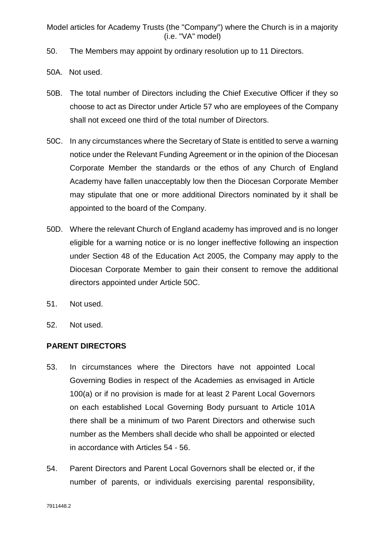- 50. The Members may appoint by ordinary resolution up to 11 Directors.
- 50A. Not used.
- 50B. The total number of Directors including the Chief Executive Officer if they so choose to act as Director under Article 57 who are employees of the Company shall not exceed one third of the total number of Directors.
- 50C. In any circumstances where the Secretary of State is entitled to serve a warning notice under the Relevant Funding Agreement or in the opinion of the Diocesan Corporate Member the standards or the ethos of any Church of England Academy have fallen unacceptably low then the Diocesan Corporate Member may stipulate that one or more additional Directors nominated by it shall be appointed to the board of the Company.
- 50D. Where the relevant Church of England academy has improved and is no longer eligible for a warning notice or is no longer ineffective following an inspection under Section 48 of the Education Act 2005, the Company may apply to the Diocesan Corporate Member to gain their consent to remove the additional directors appointed under Article 50C.
- 51. Not used.
- 52. Not used.

# **PARENT DIRECTORS**

- 53. In circumstances where the Directors have not appointed Local Governing Bodies in respect of the Academies as envisaged in Article 100(a) or if no provision is made for at least 2 Parent Local Governors on each established Local Governing Body pursuant to Article 101A there shall be a minimum of two Parent Directors and otherwise such number as the Members shall decide who shall be appointed or elected in accordance with Articles 54 - 56.
- 54. Parent Directors and Parent Local Governors shall be elected or, if the number of parents, or individuals exercising parental responsibility,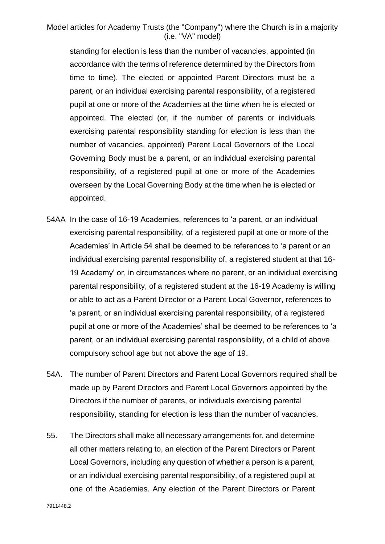standing for election is less than the number of vacancies, appointed (in accordance with the terms of reference determined by the Directors from time to time). The elected or appointed Parent Directors must be a parent, or an individual exercising parental responsibility, of a registered pupil at one or more of the Academies at the time when he is elected or appointed. The elected (or, if the number of parents or individuals exercising parental responsibility standing for election is less than the number of vacancies, appointed) Parent Local Governors of the Local Governing Body must be a parent, or an individual exercising parental responsibility, of a registered pupil at one or more of the Academies overseen by the Local Governing Body at the time when he is elected or appointed.

- 54AA In the case of 16-19 Academies, references to 'a parent, or an individual exercising parental responsibility, of a registered pupil at one or more of the Academies' in Article 54 shall be deemed to be references to 'a parent or an individual exercising parental responsibility of, a registered student at that 16- 19 Academy' or, in circumstances where no parent, or an individual exercising parental responsibility, of a registered student at the 16-19 Academy is willing or able to act as a Parent Director or a Parent Local Governor, references to 'a parent, or an individual exercising parental responsibility, of a registered pupil at one or more of the Academies' shall be deemed to be references to 'a parent, or an individual exercising parental responsibility, of a child of above compulsory school age but not above the age of 19.
- 54A. The number of Parent Directors and Parent Local Governors required shall be made up by Parent Directors and Parent Local Governors appointed by the Directors if the number of parents, or individuals exercising parental responsibility, standing for election is less than the number of vacancies.
- 55. The Directors shall make all necessary arrangements for, and determine all other matters relating to, an election of the Parent Directors or Parent Local Governors, including any question of whether a person is a parent, or an individual exercising parental responsibility, of a registered pupil at one of the Academies. Any election of the Parent Directors or Parent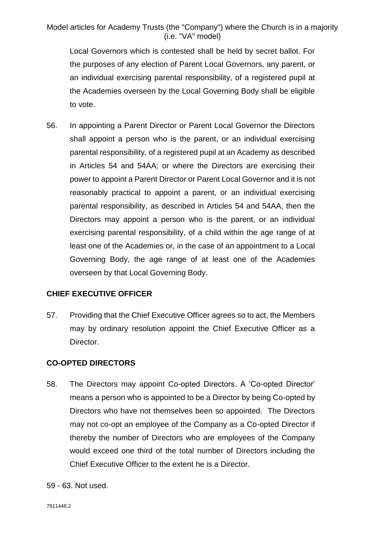Local Governors which is contested shall be held by secret ballot. For the purposes of any election of Parent Local Governors, any parent, or an individual exercising parental responsibility, of a registered pupil at the Academies overseen by the Local Governing Body shall be eligible to vote.

56. In appointing a Parent Director or Parent Local Governor the Directors shall appoint a person who is the parent, or an individual exercising parental responsibility, of a registered pupil at an Academy as described in Articles 54 and 54AA; or where the Directors are exercising their power to appoint a Parent Director or Parent Local Governor and it is not reasonably practical to appoint a parent, or an individual exercising parental responsibility, as described in Articles 54 and 54AA, then the Directors may appoint a person who is the parent, or an individual exercising parental responsibility, of a child within the age range of at least one of the Academies or, in the case of an appointment to a Local Governing Body, the age range of at least one of the Academies overseen by that Local Governing Body.

### **CHIEF EXECUTIVE OFFICER**

57. Providing that the Chief Executive Officer agrees so to act, the Members may by ordinary resolution appoint the Chief Executive Officer as a Director.

#### **CO-OPTED DIRECTORS**

- 58. The Directors may appoint Co-opted Directors. A 'Co-opted Director' means a person who is appointed to be a Director by being Co-opted by Directors who have not themselves been so appointed. The Directors may not co-opt an employee of the Company as a Co-opted Director if thereby the number of Directors who are employees of the Company would exceed one third of the total number of Directors including the Chief Executive Officer to the extent he is a Director.
- 59 63. Not used.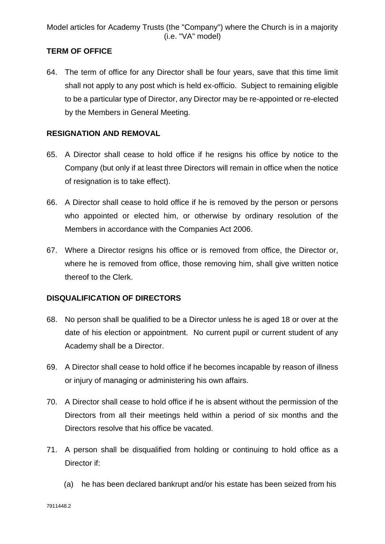# **TERM OF OFFICE**

64. The term of office for any Director shall be four years, save that this time limit shall not apply to any post which is held ex-officio. Subject to remaining eligible to be a particular type of Director, any Director may be re-appointed or re-elected by the Members in General Meeting.

# **RESIGNATION AND REMOVAL**

- 65. A Director shall cease to hold office if he resigns his office by notice to the Company (but only if at least three Directors will remain in office when the notice of resignation is to take effect).
- 66. A Director shall cease to hold office if he is removed by the person or persons who appointed or elected him, or otherwise by ordinary resolution of the Members in accordance with the Companies Act 2006.
- 67. Where a Director resigns his office or is removed from office, the Director or, where he is removed from office, those removing him, shall give written notice thereof to the Clerk.

# **DISQUALIFICATION OF DIRECTORS**

- 68. No person shall be qualified to be a Director unless he is aged 18 or over at the date of his election or appointment. No current pupil or current student of any Academy shall be a Director.
- 69. A Director shall cease to hold office if he becomes incapable by reason of illness or injury of managing or administering his own affairs.
- 70. A Director shall cease to hold office if he is absent without the permission of the Directors from all their meetings held within a period of six months and the Directors resolve that his office be vacated.
- 71. A person shall be disqualified from holding or continuing to hold office as a Director if:
	- (a) he has been declared bankrupt and/or his estate has been seized from his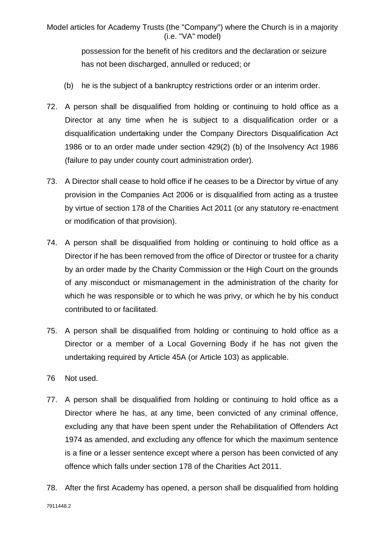> possession for the benefit of his creditors and the declaration or seizure has not been discharged, annulled or reduced; or

- (b) he is the subject of a bankruptcy restrictions order or an interim order.
- 72. A person shall be disqualified from holding or continuing to hold office as a Director at any time when he is subject to a disqualification order or a disqualification undertaking under the Company Directors Disqualification Act 1986 or to an order made under section 429(2) (b) of the Insolvency Act 1986 (failure to pay under county court administration order).
- 73. A Director shall cease to hold office if he ceases to be a Director by virtue of any provision in the Companies Act 2006 or is disqualified from acting as a trustee by virtue of section 178 of the Charities Act 2011 (or any statutory re-enactment or modification of that provision).
- 74. A person shall be disqualified from holding or continuing to hold office as a Director if he has been removed from the office of Director or trustee for a charity by an order made by the Charity Commission or the High Court on the grounds of any misconduct or mismanagement in the administration of the charity for which he was responsible or to which he was privy, or which he by his conduct contributed to or facilitated.
- 75. A person shall be disqualified from holding or continuing to hold office as a Director or a member of a Local Governing Body if he has not given the undertaking required by Article 45A (or Article 103) as applicable.
- 76 Not used.
- 77. A person shall be disqualified from holding or continuing to hold office as a Director where he has, at any time, been convicted of any criminal offence, excluding any that have been spent under the Rehabilitation of Offenders Act 1974 as amended, and excluding any offence for which the maximum sentence is a fine or a lesser sentence except where a person has been convicted of any offence which falls under section 178 of the Charities Act 2011.
- 78. After the first Academy has opened, a person shall be disqualified from holding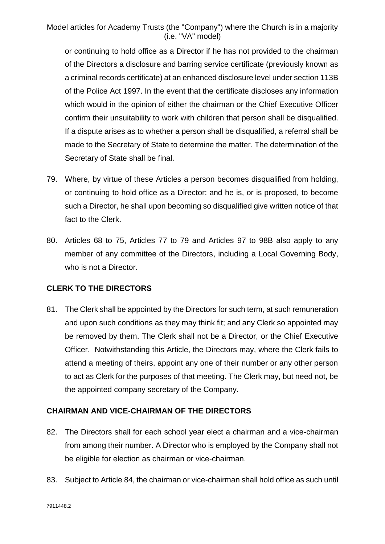or continuing to hold office as a Director if he has not provided to the chairman of the Directors a disclosure and barring service certificate (previously known as a criminal records certificate) at an enhanced disclosure level under section 113B of the Police Act 1997. In the event that the certificate discloses any information which would in the opinion of either the chairman or the Chief Executive Officer confirm their unsuitability to work with children that person shall be disqualified. If a dispute arises as to whether a person shall be disqualified, a referral shall be made to the Secretary of State to determine the matter. The determination of the Secretary of State shall be final.

- 79. Where, by virtue of these Articles a person becomes disqualified from holding, or continuing to hold office as a Director; and he is, or is proposed, to become such a Director, he shall upon becoming so disqualified give written notice of that fact to the Clerk.
- 80. Articles 68 to 75, Articles 77 to 79 and Articles 97 to 98B also apply to any member of any committee of the Directors, including a Local Governing Body, who is not a Director.

### **CLERK TO THE DIRECTORS**

81. The Clerk shall be appointed by the Directors for such term, at such remuneration and upon such conditions as they may think fit; and any Clerk so appointed may be removed by them. The Clerk shall not be a Director, or the Chief Executive Officer. Notwithstanding this Article, the Directors may, where the Clerk fails to attend a meeting of theirs, appoint any one of their number or any other person to act as Clerk for the purposes of that meeting. The Clerk may, but need not, be the appointed company secretary of the Company.

### **CHAIRMAN AND VICE-CHAIRMAN OF THE DIRECTORS**

- 82. The Directors shall for each school year elect a chairman and a vice-chairman from among their number. A Director who is employed by the Company shall not be eligible for election as chairman or vice-chairman.
- 83. Subject to Article 84, the chairman or vice-chairman shall hold office as such until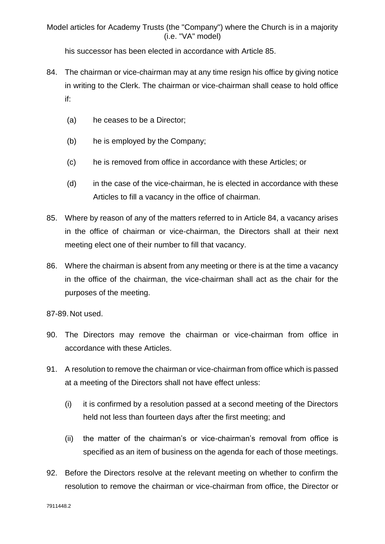his successor has been elected in accordance with Article 85.

- 84. The chairman or vice-chairman may at any time resign his office by giving notice in writing to the Clerk. The chairman or vice-chairman shall cease to hold office if:
	- (a) he ceases to be a Director;
	- (b) he is employed by the Company;
	- (c) he is removed from office in accordance with these Articles; or
	- (d) in the case of the vice-chairman, he is elected in accordance with these Articles to fill a vacancy in the office of chairman.
- 85. Where by reason of any of the matters referred to in Article 84, a vacancy arises in the office of chairman or vice-chairman, the Directors shall at their next meeting elect one of their number to fill that vacancy.
- 86. Where the chairman is absent from any meeting or there is at the time a vacancy in the office of the chairman, the vice-chairman shall act as the chair for the purposes of the meeting.

87-89. Not used.

- 90. The Directors may remove the chairman or vice-chairman from office in accordance with these Articles.
- 91. A resolution to remove the chairman or vice-chairman from office which is passed at a meeting of the Directors shall not have effect unless:
	- (i) it is confirmed by a resolution passed at a second meeting of the Directors held not less than fourteen days after the first meeting; and
	- (ii) the matter of the chairman's or vice-chairman's removal from office is specified as an item of business on the agenda for each of those meetings.
- 92. Before the Directors resolve at the relevant meeting on whether to confirm the resolution to remove the chairman or vice-chairman from office, the Director or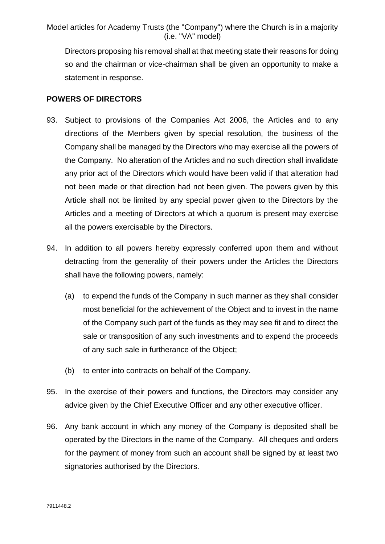Directors proposing his removal shall at that meeting state their reasons for doing so and the chairman or vice-chairman shall be given an opportunity to make a statement in response.

### **POWERS OF DIRECTORS**

- 93. Subject to provisions of the Companies Act 2006, the Articles and to any directions of the Members given by special resolution, the business of the Company shall be managed by the Directors who may exercise all the powers of the Company. No alteration of the Articles and no such direction shall invalidate any prior act of the Directors which would have been valid if that alteration had not been made or that direction had not been given. The powers given by this Article shall not be limited by any special power given to the Directors by the Articles and a meeting of Directors at which a quorum is present may exercise all the powers exercisable by the Directors.
- 94. In addition to all powers hereby expressly conferred upon them and without detracting from the generality of their powers under the Articles the Directors shall have the following powers, namely:
	- (a) to expend the funds of the Company in such manner as they shall consider most beneficial for the achievement of the Object and to invest in the name of the Company such part of the funds as they may see fit and to direct the sale or transposition of any such investments and to expend the proceeds of any such sale in furtherance of the Object;
	- (b) to enter into contracts on behalf of the Company.
- 95. In the exercise of their powers and functions, the Directors may consider any advice given by the Chief Executive Officer and any other executive officer.
- 96. Any bank account in which any money of the Company is deposited shall be operated by the Directors in the name of the Company. All cheques and orders for the payment of money from such an account shall be signed by at least two signatories authorised by the Directors.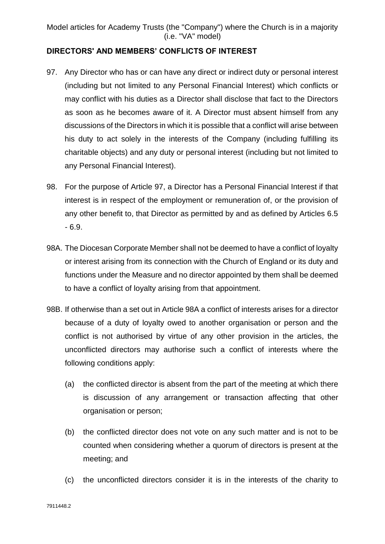# **DIRECTORS' AND MEMBERS' CONFLICTS OF INTEREST**

- 97. Any Director who has or can have any direct or indirect duty or personal interest (including but not limited to any Personal Financial Interest) which conflicts or may conflict with his duties as a Director shall disclose that fact to the Directors as soon as he becomes aware of it. A Director must absent himself from any discussions of the Directors in which it is possible that a conflict will arise between his duty to act solely in the interests of the Company (including fulfilling its charitable objects) and any duty or personal interest (including but not limited to any Personal Financial Interest).
- 98. For the purpose of Article 97, a Director has a Personal Financial Interest if that interest is in respect of the employment or remuneration of, or the provision of any other benefit to, that Director as permitted by and as defined by Articles 6.5 - 6.9.
- 98A. The Diocesan Corporate Member shall not be deemed to have a conflict of loyalty or interest arising from its connection with the Church of England or its duty and functions under the Measure and no director appointed by them shall be deemed to have a conflict of loyalty arising from that appointment.
- 98B. If otherwise than a set out in Article 98A a conflict of interests arises for a director because of a duty of loyalty owed to another organisation or person and the conflict is not authorised by virtue of any other provision in the articles, the unconflicted directors may authorise such a conflict of interests where the following conditions apply:
	- (a) the conflicted director is absent from the part of the meeting at which there is discussion of any arrangement or transaction affecting that other organisation or person;
	- (b) the conflicted director does not vote on any such matter and is not to be counted when considering whether a quorum of directors is present at the meeting; and
	- (c) the unconflicted directors consider it is in the interests of the charity to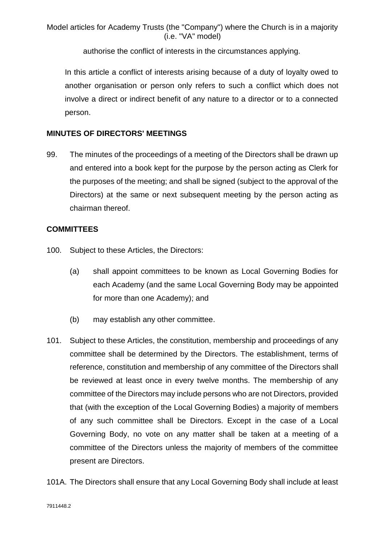authorise the conflict of interests in the circumstances applying.

In this article a conflict of interests arising because of a duty of loyalty owed to another organisation or person only refers to such a conflict which does not involve a direct or indirect benefit of any nature to a director or to a connected person.

# **MINUTES OF DIRECTORS' MEETINGS**

99. The minutes of the proceedings of a meeting of the Directors shall be drawn up and entered into a book kept for the purpose by the person acting as Clerk for the purposes of the meeting; and shall be signed (subject to the approval of the Directors) at the same or next subsequent meeting by the person acting as chairman thereof.

### **COMMITTEES**

- 100. Subject to these Articles, the Directors:
	- (a) shall appoint committees to be known as Local Governing Bodies for each Academy (and the same Local Governing Body may be appointed for more than one Academy); and
	- (b) may establish any other committee.
- 101. Subject to these Articles, the constitution, membership and proceedings of any committee shall be determined by the Directors. The establishment, terms of reference, constitution and membership of any committee of the Directors shall be reviewed at least once in every twelve months. The membership of any committee of the Directors may include persons who are not Directors, provided that (with the exception of the Local Governing Bodies) a majority of members of any such committee shall be Directors. Except in the case of a Local Governing Body, no vote on any matter shall be taken at a meeting of a committee of the Directors unless the majority of members of the committee present are Directors.
- 101A. The Directors shall ensure that any Local Governing Body shall include at least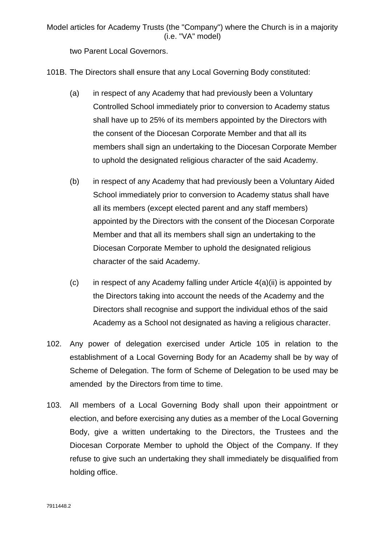two Parent Local Governors.

101B. The Directors shall ensure that any Local Governing Body constituted:

- (a) in respect of any Academy that had previously been a Voluntary Controlled School immediately prior to conversion to Academy status shall have up to 25% of its members appointed by the Directors with the consent of the Diocesan Corporate Member and that all its members shall sign an undertaking to the Diocesan Corporate Member to uphold the designated religious character of the said Academy.
- (b) in respect of any Academy that had previously been a Voluntary Aided School immediately prior to conversion to Academy status shall have all its members (except elected parent and any staff members) appointed by the Directors with the consent of the Diocesan Corporate Member and that all its members shall sign an undertaking to the Diocesan Corporate Member to uphold the designated religious character of the said Academy.
- $(c)$  in respect of any Academy falling under Article  $4(a)(ii)$  is appointed by the Directors taking into account the needs of the Academy and the Directors shall recognise and support the individual ethos of the said Academy as a School not designated as having a religious character.
- 102. Any power of delegation exercised under Article 105 in relation to the establishment of a Local Governing Body for an Academy shall be by way of Scheme of Delegation. The form of Scheme of Delegation to be used may be amended by the Directors from time to time.
- 103. All members of a Local Governing Body shall upon their appointment or election, and before exercising any duties as a member of the Local Governing Body, give a written undertaking to the Directors, the Trustees and the Diocesan Corporate Member to uphold the Object of the Company. If they refuse to give such an undertaking they shall immediately be disqualified from holding office.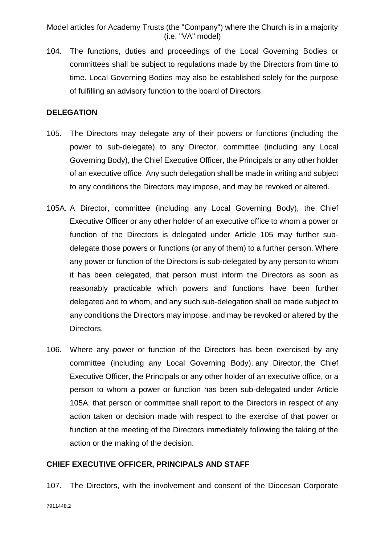104. The functions, duties and proceedings of the Local Governing Bodies or committees shall be subject to regulations made by the Directors from time to time. Local Governing Bodies may also be established solely for the purpose of fulfilling an advisory function to the board of Directors.

### **DELEGATION**

- 105. The Directors may delegate any of their powers or functions (including the power to sub-delegate) to any Director, committee (including any Local Governing Body), the Chief Executive Officer, the Principals or any other holder of an executive office. Any such delegation shall be made in writing and subject to any conditions the Directors may impose, and may be revoked or altered.
- 105A. A Director, committee (including any Local Governing Body), the Chief Executive Officer or any other holder of an executive office to whom a power or function of the Directors is delegated under Article 105 may further subdelegate those powers or functions (or any of them) to a further person. Where any power or function of the Directors is sub-delegated by any person to whom it has been delegated, that person must inform the Directors as soon as reasonably practicable which powers and functions have been further delegated and to whom, and any such sub-delegation shall be made subject to any conditions the Directors may impose, and may be revoked or altered by the Directors.
- 106. Where any power or function of the Directors has been exercised by any committee (including any Local Governing Body), any Director, the Chief Executive Officer, the Principals or any other holder of an executive office, or a person to whom a power or function has been sub-delegated under Article 105A, that person or committee shall report to the Directors in respect of any action taken or decision made with respect to the exercise of that power or function at the meeting of the Directors immediately following the taking of the action or the making of the decision.

#### **CHIEF EXECUTIVE OFFICER, PRINCIPALS AND STAFF**

107. The Directors, with the involvement and consent of the Diocesan Corporate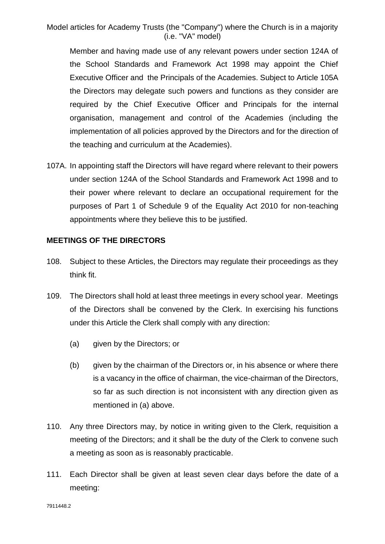Member and having made use of any relevant powers under section 124A of the School Standards and Framework Act 1998 may appoint the Chief Executive Officer and the Principals of the Academies. Subject to Article 105A the Directors may delegate such powers and functions as they consider are required by the Chief Executive Officer and Principals for the internal organisation, management and control of the Academies (including the implementation of all policies approved by the Directors and for the direction of the teaching and curriculum at the Academies).

107A. In appointing staff the Directors will have regard where relevant to their powers under section 124A of the School Standards and Framework Act 1998 and to their power where relevant to declare an occupational requirement for the purposes of Part 1 of Schedule 9 of the Equality Act 2010 for non-teaching appointments where they believe this to be justified.

#### **MEETINGS OF THE DIRECTORS**

- 108. Subject to these Articles, the Directors may regulate their proceedings as they think fit.
- 109. The Directors shall hold at least three meetings in every school year. Meetings of the Directors shall be convened by the Clerk. In exercising his functions under this Article the Clerk shall comply with any direction:
	- (a) given by the Directors; or
	- (b) given by the chairman of the Directors or, in his absence or where there is a vacancy in the office of chairman, the vice-chairman of the Directors, so far as such direction is not inconsistent with any direction given as mentioned in (a) above.
- 110. Any three Directors may, by notice in writing given to the Clerk, requisition a meeting of the Directors; and it shall be the duty of the Clerk to convene such a meeting as soon as is reasonably practicable.
- 111. Each Director shall be given at least seven clear days before the date of a meeting: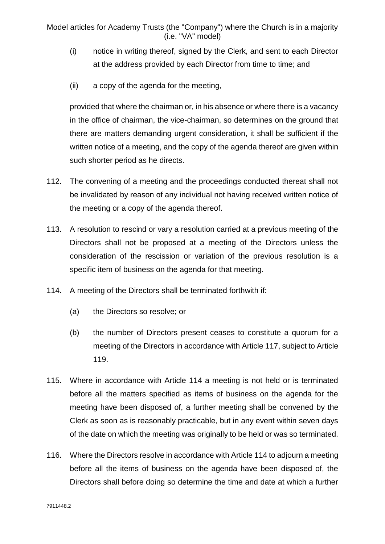- (i) notice in writing thereof, signed by the Clerk, and sent to each Director at the address provided by each Director from time to time; and
- (ii) a copy of the agenda for the meeting,

provided that where the chairman or, in his absence or where there is a vacancy in the office of chairman, the vice-chairman, so determines on the ground that there are matters demanding urgent consideration, it shall be sufficient if the written notice of a meeting, and the copy of the agenda thereof are given within such shorter period as he directs.

- 112. The convening of a meeting and the proceedings conducted thereat shall not be invalidated by reason of any individual not having received written notice of the meeting or a copy of the agenda thereof.
- 113. A resolution to rescind or vary a resolution carried at a previous meeting of the Directors shall not be proposed at a meeting of the Directors unless the consideration of the rescission or variation of the previous resolution is a specific item of business on the agenda for that meeting.
- 114. A meeting of the Directors shall be terminated forthwith if:
	- (a) the Directors so resolve; or
	- (b) the number of Directors present ceases to constitute a quorum for a meeting of the Directors in accordance with Article 117, subject to Article 119.
- 115. Where in accordance with Article 114 a meeting is not held or is terminated before all the matters specified as items of business on the agenda for the meeting have been disposed of, a further meeting shall be convened by the Clerk as soon as is reasonably practicable, but in any event within seven days of the date on which the meeting was originally to be held or was so terminated.
- 116. Where the Directors resolve in accordance with Article 114 to adjourn a meeting before all the items of business on the agenda have been disposed of, the Directors shall before doing so determine the time and date at which a further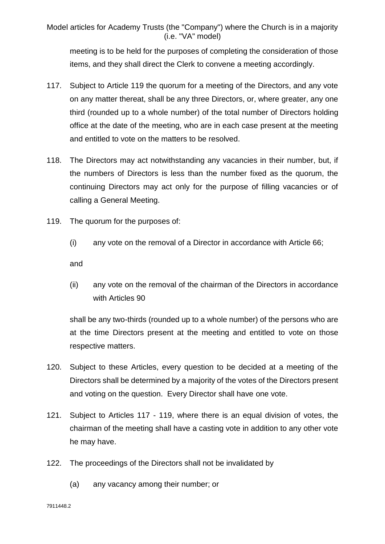meeting is to be held for the purposes of completing the consideration of those items, and they shall direct the Clerk to convene a meeting accordingly.

- 117. Subject to Article 119 the quorum for a meeting of the Directors, and any vote on any matter thereat, shall be any three Directors, or, where greater, any one third (rounded up to a whole number) of the total number of Directors holding office at the date of the meeting, who are in each case present at the meeting and entitled to vote on the matters to be resolved.
- 118. The Directors may act notwithstanding any vacancies in their number, but, if the numbers of Directors is less than the number fixed as the quorum, the continuing Directors may act only for the purpose of filling vacancies or of calling a General Meeting.
- 119. The quorum for the purposes of:
	- (i) any vote on the removal of a Director in accordance with Article 66;

and

(ii) any vote on the removal of the chairman of the Directors in accordance with Articles 90

shall be any two-thirds (rounded up to a whole number) of the persons who are at the time Directors present at the meeting and entitled to vote on those respective matters.

- 120. Subject to these Articles, every question to be decided at a meeting of the Directors shall be determined by a majority of the votes of the Directors present and voting on the question. Every Director shall have one vote.
- 121. Subject to Articles 117 119, where there is an equal division of votes, the chairman of the meeting shall have a casting vote in addition to any other vote he may have.
- 122. The proceedings of the Directors shall not be invalidated by
	- (a) any vacancy among their number; or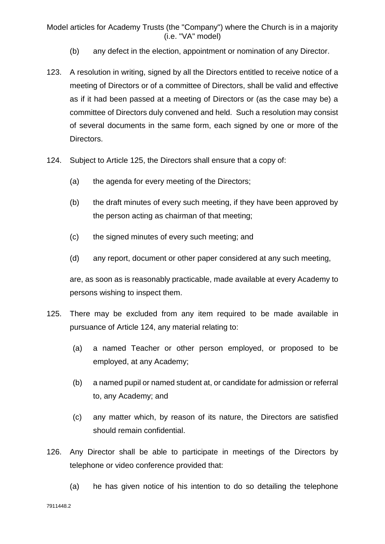- (b) any defect in the election, appointment or nomination of any Director.
- 123. A resolution in writing, signed by all the Directors entitled to receive notice of a meeting of Directors or of a committee of Directors, shall be valid and effective as if it had been passed at a meeting of Directors or (as the case may be) a committee of Directors duly convened and held. Such a resolution may consist of several documents in the same form, each signed by one or more of the Directors.
- 124. Subject to Article 125, the Directors shall ensure that a copy of:
	- (a) the agenda for every meeting of the Directors;
	- (b) the draft minutes of every such meeting, if they have been approved by the person acting as chairman of that meeting;
	- (c) the signed minutes of every such meeting; and
	- (d) any report, document or other paper considered at any such meeting,

are, as soon as is reasonably practicable, made available at every Academy to persons wishing to inspect them.

- 125. There may be excluded from any item required to be made available in pursuance of Article 124, any material relating to:
	- (a) a named Teacher or other person employed, or proposed to be employed, at any Academy;
	- (b) a named pupil or named student at, or candidate for admission or referral to, any Academy; and
	- (c) any matter which, by reason of its nature, the Directors are satisfied should remain confidential.
- 126. Any Director shall be able to participate in meetings of the Directors by telephone or video conference provided that:
	- (a) he has given notice of his intention to do so detailing the telephone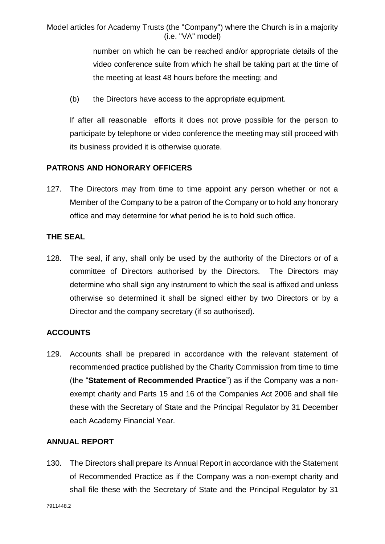> number on which he can be reached and/or appropriate details of the video conference suite from which he shall be taking part at the time of the meeting at least 48 hours before the meeting; and

(b) the Directors have access to the appropriate equipment.

If after all reasonable efforts it does not prove possible for the person to participate by telephone or video conference the meeting may still proceed with its business provided it is otherwise quorate.

# **PATRONS AND HONORARY OFFICERS**

127. The Directors may from time to time appoint any person whether or not a Member of the Company to be a patron of the Company or to hold any honorary office and may determine for what period he is to hold such office.

### **THE SEAL**

128. The seal, if any, shall only be used by the authority of the Directors or of a committee of Directors authorised by the Directors. The Directors may determine who shall sign any instrument to which the seal is affixed and unless otherwise so determined it shall be signed either by two Directors or by a Director and the company secretary (if so authorised).

### **ACCOUNTS**

129. Accounts shall be prepared in accordance with the relevant statement of recommended practice published by the Charity Commission from time to time (the "**Statement of Recommended Practice**") as if the Company was a nonexempt charity and Parts 15 and 16 of the Companies Act 2006 and shall file these with the Secretary of State and the Principal Regulator by 31 December each Academy Financial Year.

# **ANNUAL REPORT**

130. The Directors shall prepare its Annual Report in accordance with the Statement of Recommended Practice as if the Company was a non-exempt charity and shall file these with the Secretary of State and the Principal Regulator by 31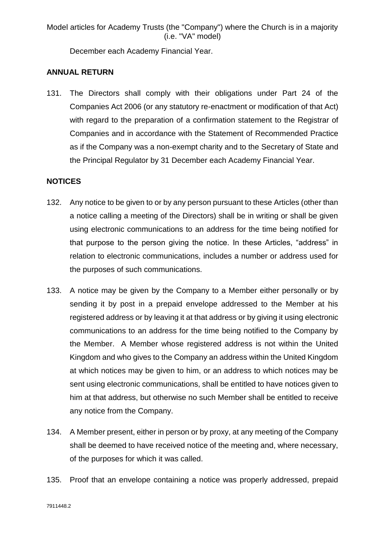December each Academy Financial Year.

# **ANNUAL RETURN**

131. The Directors shall comply with their obligations under Part 24 of the Companies Act 2006 (or any statutory re-enactment or modification of that Act) with regard to the preparation of a confirmation statement to the Registrar of Companies and in accordance with the Statement of Recommended Practice as if the Company was a non-exempt charity and to the Secretary of State and the Principal Regulator by 31 December each Academy Financial Year.

# **NOTICES**

- 132. Any notice to be given to or by any person pursuant to these Articles (other than a notice calling a meeting of the Directors) shall be in writing or shall be given using electronic communications to an address for the time being notified for that purpose to the person giving the notice. In these Articles, "address" in relation to electronic communications, includes a number or address used for the purposes of such communications.
- 133. A notice may be given by the Company to a Member either personally or by sending it by post in a prepaid envelope addressed to the Member at his registered address or by leaving it at that address or by giving it using electronic communications to an address for the time being notified to the Company by the Member. A Member whose registered address is not within the United Kingdom and who gives to the Company an address within the United Kingdom at which notices may be given to him, or an address to which notices may be sent using electronic communications, shall be entitled to have notices given to him at that address, but otherwise no such Member shall be entitled to receive any notice from the Company.
- 134. A Member present, either in person or by proxy, at any meeting of the Company shall be deemed to have received notice of the meeting and, where necessary, of the purposes for which it was called.
- 135. Proof that an envelope containing a notice was properly addressed, prepaid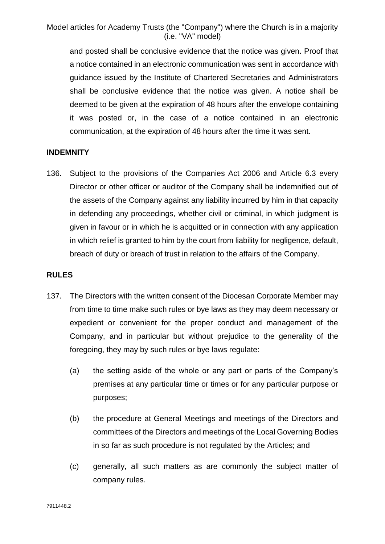and posted shall be conclusive evidence that the notice was given. Proof that a notice contained in an electronic communication was sent in accordance with guidance issued by the Institute of Chartered Secretaries and Administrators shall be conclusive evidence that the notice was given. A notice shall be deemed to be given at the expiration of 48 hours after the envelope containing it was posted or, in the case of a notice contained in an electronic communication, at the expiration of 48 hours after the time it was sent.

### **INDEMNITY**

136. Subject to the provisions of the Companies Act 2006 and Article 6.3 every Director or other officer or auditor of the Company shall be indemnified out of the assets of the Company against any liability incurred by him in that capacity in defending any proceedings, whether civil or criminal, in which judgment is given in favour or in which he is acquitted or in connection with any application in which relief is granted to him by the court from liability for negligence, default, breach of duty or breach of trust in relation to the affairs of the Company.

#### **RULES**

- 137. The Directors with the written consent of the Diocesan Corporate Member may from time to time make such rules or bye laws as they may deem necessary or expedient or convenient for the proper conduct and management of the Company, and in particular but without prejudice to the generality of the foregoing, they may by such rules or bye laws regulate:
	- (a) the setting aside of the whole or any part or parts of the Company's premises at any particular time or times or for any particular purpose or purposes;
	- (b) the procedure at General Meetings and meetings of the Directors and committees of the Directors and meetings of the Local Governing Bodies in so far as such procedure is not regulated by the Articles; and
	- (c) generally, all such matters as are commonly the subject matter of company rules.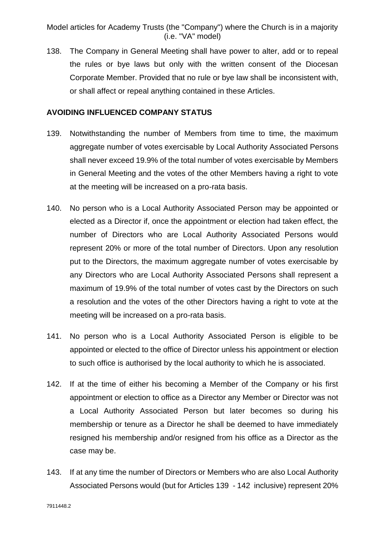138. The Company in General Meeting shall have power to alter, add or to repeal the rules or bye laws but only with the written consent of the Diocesan Corporate Member. Provided that no rule or bye law shall be inconsistent with, or shall affect or repeal anything contained in these Articles.

#### **AVOIDING INFLUENCED COMPANY STATUS**

- 139. Notwithstanding the number of Members from time to time, the maximum aggregate number of votes exercisable by Local Authority Associated Persons shall never exceed 19.9% of the total number of votes exercisable by Members in General Meeting and the votes of the other Members having a right to vote at the meeting will be increased on a pro-rata basis.
- 140. No person who is a Local Authority Associated Person may be appointed or elected as a Director if, once the appointment or election had taken effect, the number of Directors who are Local Authority Associated Persons would represent 20% or more of the total number of Directors. Upon any resolution put to the Directors, the maximum aggregate number of votes exercisable by any Directors who are Local Authority Associated Persons shall represent a maximum of 19.9% of the total number of votes cast by the Directors on such a resolution and the votes of the other Directors having a right to vote at the meeting will be increased on a pro-rata basis.
- 141. No person who is a Local Authority Associated Person is eligible to be appointed or elected to the office of Director unless his appointment or election to such office is authorised by the local authority to which he is associated.
- 142. If at the time of either his becoming a Member of the Company or his first appointment or election to office as a Director any Member or Director was not a Local Authority Associated Person but later becomes so during his membership or tenure as a Director he shall be deemed to have immediately resigned his membership and/or resigned from his office as a Director as the case may be.
- 143. If at any time the number of Directors or Members who are also Local Authority Associated Persons would (but for Articles 139 - 142 inclusive) represent 20%